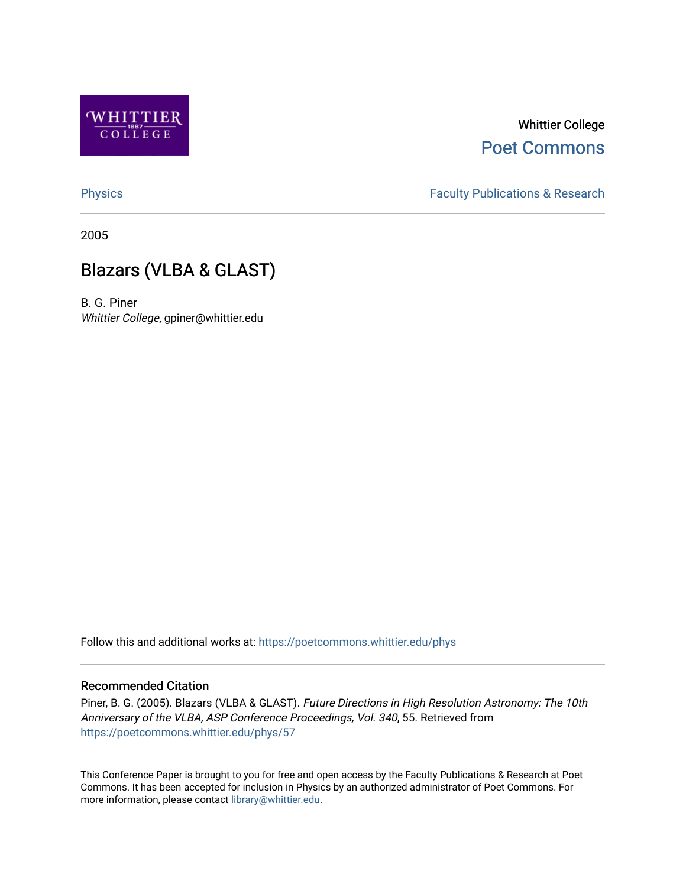

# Whittier College [Poet Commons](https://poetcommons.whittier.edu/)

[Physics](https://poetcommons.whittier.edu/phys) **Faculty Publications & Research Physics Faculty Publications & Research** 

2005

# Blazars (VLBA & GLAST)

B. G. Piner Whittier College, gpiner@whittier.edu

Follow this and additional works at: [https://poetcommons.whittier.edu/phys](https://poetcommons.whittier.edu/phys?utm_source=poetcommons.whittier.edu%2Fphys%2F57&utm_medium=PDF&utm_campaign=PDFCoverPages)

# Recommended Citation

Piner, B. G. (2005). Blazars (VLBA & GLAST). Future Directions in High Resolution Astronomy: The 10th Anniversary of the VLBA, ASP Conference Proceedings, Vol. 340, 55. Retrieved from [https://poetcommons.whittier.edu/phys/57](https://poetcommons.whittier.edu/phys/57?utm_source=poetcommons.whittier.edu%2Fphys%2F57&utm_medium=PDF&utm_campaign=PDFCoverPages) 

This Conference Paper is brought to you for free and open access by the Faculty Publications & Research at Poet Commons. It has been accepted for inclusion in Physics by an authorized administrator of Poet Commons. For more information, please contact [library@whittier.edu.](mailto:library@whittier.edu)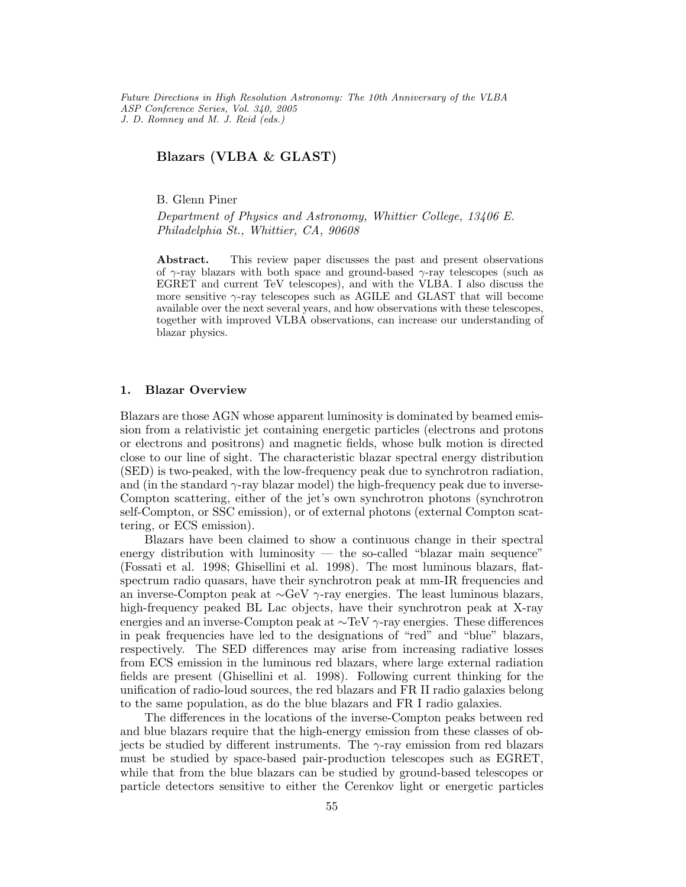Future Directions in High Resolution Astronomy: The 10th Anniversary of the VLBA ASP Conference Series, Vol. 340, 2005 J. D. Romney and M. J. Reid (eds.)

# Blazars (VLBA & GLAST)

B. Glenn Piner

Department of Physics and Astronomy, Whittier College, 13406 E. Philadelphia St., Whittier, CA, 90608

Abstract. This review paper discusses the past and present observations of  $\gamma$ -ray blazars with both space and ground-based  $\gamma$ -ray telescopes (such as EGRET and current TeV telescopes), and with the VLBA. I also discuss the more sensitive  $\gamma$ -ray telescopes such as AGILE and GLAST that will become available over the next several years, and how observations with these telescopes, together with improved VLBA observations, can increase our understanding of blazar physics.

## 1. Blazar Overview

Blazars are those AGN whose apparent luminosity is dominated by beamed emission from a relativistic jet containing energetic particles (electrons and protons or electrons and positrons) and magnetic fields, whose bulk motion is directed close to our line of sight. The characteristic blazar spectral energy distribution (SED) is two-peaked, with the low-frequency peak due to synchrotron radiation, and (in the standard  $\gamma$ -ray blazar model) the high-frequency peak due to inverse-Compton scattering, either of the jet's own synchrotron photons (synchrotron self-Compton, or SSC emission), or of external photons (external Compton scattering, or ECS emission).

Blazars have been claimed to show a continuous change in their spectral energy distribution with luminosity — the so-called "blazar main sequence" (Fossati et al. 1998; Ghisellini et al. 1998). The most luminous blazars, flatspectrum radio quasars, have their synchrotron peak at mm-IR frequencies and an inverse-Compton peak at ∼GeV γ-ray energies. The least luminous blazars, high-frequency peaked BL Lac objects, have their synchrotron peak at X-ray energies and an inverse-Compton peak at ∼TeV γ-ray energies. These differences in peak frequencies have led to the designations of "red" and "blue" blazars, respectively. The SED differences may arise from increasing radiative losses from ECS emission in the luminous red blazars, where large external radiation fields are present (Ghisellini et al. 1998). Following current thinking for the unification of radio-loud sources, the red blazars and FR II radio galaxies belong to the same population, as do the blue blazars and FR I radio galaxies.

The differences in the locations of the inverse-Compton peaks between red and blue blazars require that the high-energy emission from these classes of objects be studied by different instruments. The  $\gamma$ -ray emission from red blazars must be studied by space-based pair-production telescopes such as EGRET, while that from the blue blazars can be studied by ground-based telescopes or particle detectors sensitive to either the Cerenkov light or energetic particles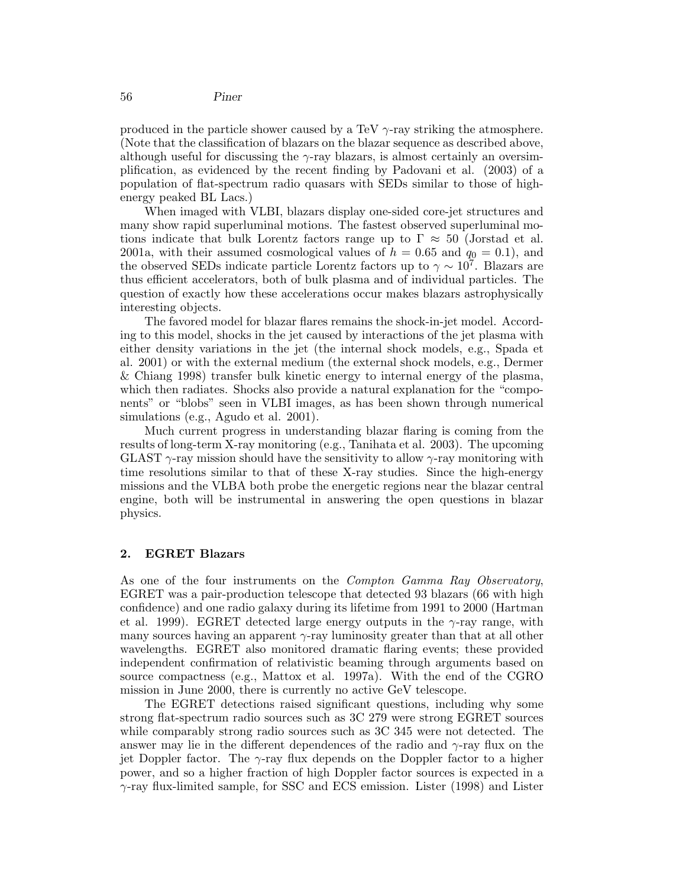produced in the particle shower caused by a TeV  $\gamma$ -ray striking the atmosphere. (Note that the classification of blazars on the blazar sequence as described above, although useful for discussing the  $\gamma$ -ray blazars, is almost certainly an oversimplification, as evidenced by the recent finding by Padovani et al. (2003) of a population of flat-spectrum radio quasars with SEDs similar to those of highenergy peaked BL Lacs.)

When imaged with VLBI, blazars display one-sided core-jet structures and many show rapid superluminal motions. The fastest observed superluminal motions indicate that bulk Lorentz factors range up to  $\Gamma \approx 50$  (Jorstad et al. 2001a, with their assumed cosmological values of  $h = 0.65$  and  $q_0 = 0.1$ , and the observed SEDs indicate particle Lorentz factors up to  $\gamma \sim 10^{7}$ . Blazars are thus efficient accelerators, both of bulk plasma and of individual particles. The question of exactly how these accelerations occur makes blazars astrophysically interesting objects.

The favored model for blazar flares remains the shock-in-jet model. According to this model, shocks in the jet caused by interactions of the jet plasma with either density variations in the jet (the internal shock models, e.g., Spada et al. 2001) or with the external medium (the external shock models, e.g., Dermer & Chiang 1998) transfer bulk kinetic energy to internal energy of the plasma, which then radiates. Shocks also provide a natural explanation for the "components" or "blobs" seen in VLBI images, as has been shown through numerical simulations (e.g., Agudo et al. 2001).

Much current progress in understanding blazar flaring is coming from the results of long-term X-ray monitoring (e.g., Tanihata et al. 2003). The upcoming GLAST  $\gamma$ -ray mission should have the sensitivity to allow  $\gamma$ -ray monitoring with time resolutions similar to that of these X-ray studies. Since the high-energy missions and the VLBA both probe the energetic regions near the blazar central engine, both will be instrumental in answering the open questions in blazar physics.

# 2. EGRET Blazars

As one of the four instruments on the *Compton Gamma Ray Observatory*, EGRET was a pair-production telescope that detected 93 blazars (66 with high confidence) and one radio galaxy during its lifetime from 1991 to 2000 (Hartman et al. 1999). EGRET detected large energy outputs in the  $\gamma$ -ray range, with many sources having an apparent γ-ray luminosity greater than that at all other wavelengths. EGRET also monitored dramatic flaring events; these provided independent confirmation of relativistic beaming through arguments based on source compactness (e.g., Mattox et al. 1997a). With the end of the CGRO mission in June 2000, there is currently no active GeV telescope.

The EGRET detections raised significant questions, including why some strong flat-spectrum radio sources such as 3C 279 were strong EGRET sources while comparably strong radio sources such as 3C 345 were not detected. The answer may lie in the different dependences of the radio and  $\gamma$ -ray flux on the jet Doppler factor. The  $\gamma$ -ray flux depends on the Doppler factor to a higher power, and so a higher fraction of high Doppler factor sources is expected in a  $\gamma$ -ray flux-limited sample, for SSC and ECS emission. Lister (1998) and Lister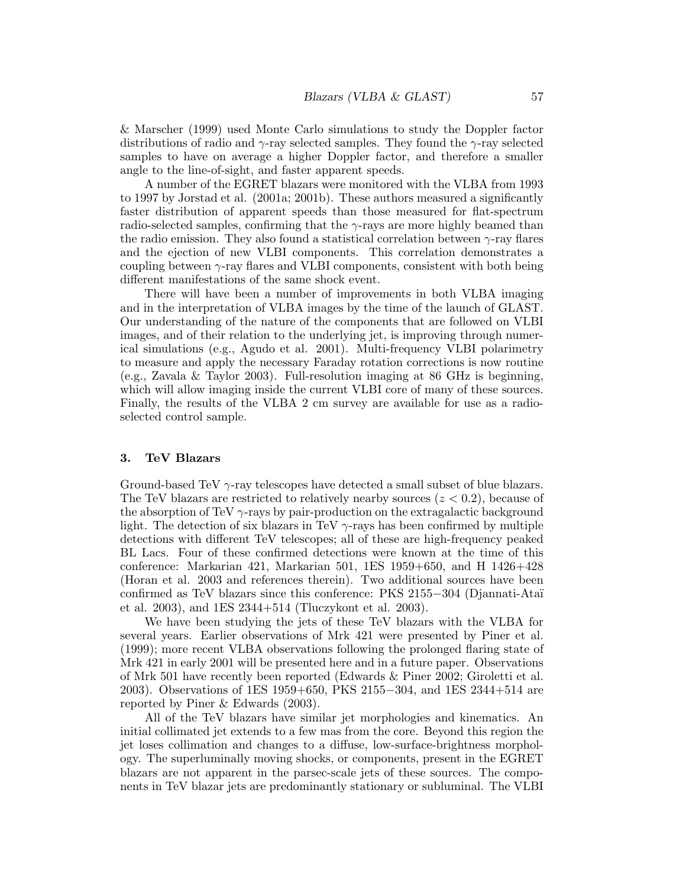& Marscher (1999) used Monte Carlo simulations to study the Doppler factor distributions of radio and  $\gamma$ -ray selected samples. They found the  $\gamma$ -ray selected samples to have on average a higher Doppler factor, and therefore a smaller angle to the line-of-sight, and faster apparent speeds.

A number of the EGRET blazars were monitored with the VLBA from 1993 to 1997 by Jorstad et al. (2001a; 2001b). These authors measured a significantly faster distribution of apparent speeds than those measured for flat-spectrum radio-selected samples, confirming that the  $\gamma$ -rays are more highly beamed than the radio emission. They also found a statistical correlation between  $\gamma$ -ray flares and the ejection of new VLBI components. This correlation demonstrates a coupling between  $\gamma$ -ray flares and VLBI components, consistent with both being different manifestations of the same shock event.

There will have been a number of improvements in both VLBA imaging and in the interpretation of VLBA images by the time of the launch of GLAST. Our understanding of the nature of the components that are followed on VLBI images, and of their relation to the underlying jet, is improving through numerical simulations (e.g., Agudo et al. 2001). Multi-frequency VLBI polarimetry to measure and apply the necessary Faraday rotation corrections is now routine (e.g., Zavala & Taylor 2003). Full-resolution imaging at 86 GHz is beginning, which will allow imaging inside the current VLBI core of many of these sources. Finally, the results of the VLBA 2 cm survey are available for use as a radioselected control sample.

#### 3. TeV Blazars

Ground-based TeV  $\gamma$ -ray telescopes have detected a small subset of blue blazars. The TeV blazars are restricted to relatively nearby sources  $(z < 0.2)$ , because of the absorption of TeV  $\gamma$ -rays by pair-production on the extragalactic background light. The detection of six blazars in TeV  $\gamma$ -rays has been confirmed by multiple detections with different TeV telescopes; all of these are high-frequency peaked BL Lacs. Four of these confirmed detections were known at the time of this conference: Markarian 421, Markarian 501, 1ES 1959+650, and H 1426+428 (Horan et al. 2003 and references therein). Two additional sources have been confirmed as TeV blazars since this conference: PKS 2155−304 (Djannati-Ata¨ı et al. 2003), and 1ES 2344+514 (Tluczykont et al. 2003).

We have been studying the jets of these TeV blazars with the VLBA for several years. Earlier observations of Mrk 421 were presented by Piner et al. (1999); more recent VLBA observations following the prolonged flaring state of Mrk 421 in early 2001 will be presented here and in a future paper. Observations of Mrk 501 have recently been reported (Edwards & Piner 2002; Giroletti et al. 2003). Observations of 1ES 1959+650, PKS 2155−304, and 1ES 2344+514 are reported by Piner & Edwards (2003).

All of the TeV blazars have similar jet morphologies and kinematics. An initial collimated jet extends to a few mas from the core. Beyond this region the jet loses collimation and changes to a diffuse, low-surface-brightness morphology. The superluminally moving shocks, or components, present in the EGRET blazars are not apparent in the parsec-scale jets of these sources. The components in TeV blazar jets are predominantly stationary or subluminal. The VLBI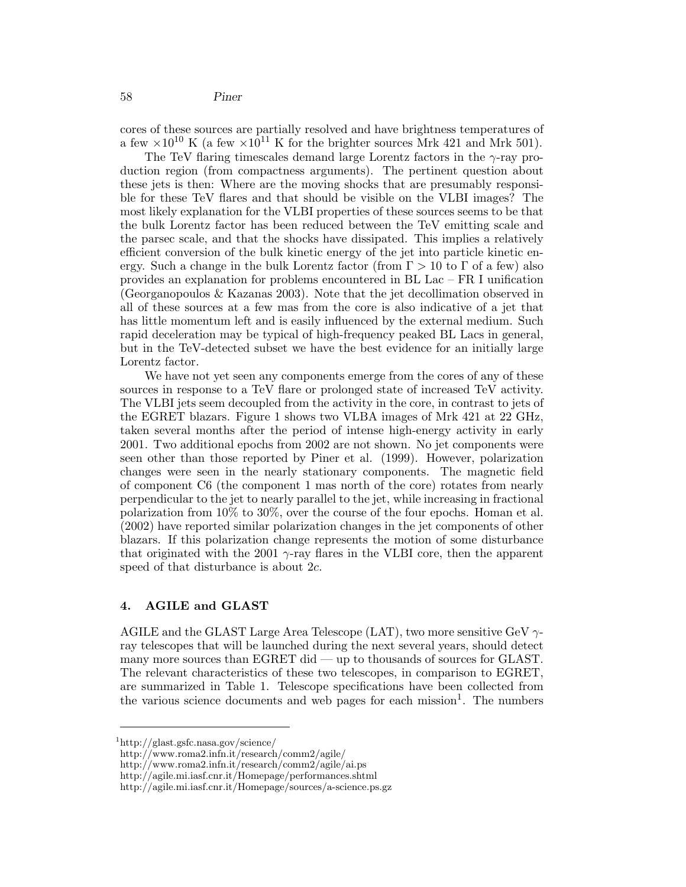cores of these sources are partially resolved and have brightness temperatures of a few  $\times 10^{10}$  K (a few  $\times 10^{11}$  K for the brighter sources Mrk 421 and Mrk 501).

The TeV flaring timescales demand large Lorentz factors in the  $\gamma$ -ray production region (from compactness arguments). The pertinent question about these jets is then: Where are the moving shocks that are presumably responsible for these TeV flares and that should be visible on the VLBI images? The most likely explanation for the VLBI properties of these sources seems to be that the bulk Lorentz factor has been reduced between the TeV emitting scale and the parsec scale, and that the shocks have dissipated. This implies a relatively efficient conversion of the bulk kinetic energy of the jet into particle kinetic energy. Such a change in the bulk Lorentz factor (from  $\Gamma > 10$  to  $\Gamma$  of a few) also provides an explanation for problems encountered in BL Lac – FR I unification (Georganopoulos & Kazanas 2003). Note that the jet decollimation observed in all of these sources at a few mas from the core is also indicative of a jet that has little momentum left and is easily influenced by the external medium. Such rapid deceleration may be typical of high-frequency peaked BL Lacs in general, but in the TeV-detected subset we have the best evidence for an initially large Lorentz factor.

We have not yet seen any components emerge from the cores of any of these sources in response to a TeV flare or prolonged state of increased TeV activity. The VLBI jets seem decoupled from the activity in the core, in contrast to jets of the EGRET blazars. Figure 1 shows two VLBA images of Mrk 421 at 22 GHz, taken several months after the period of intense high-energy activity in early 2001. Two additional epochs from 2002 are not shown. No jet components were seen other than those reported by Piner et al. (1999). However, polarization changes were seen in the nearly stationary components. The magnetic field of component C6 (the component 1 mas north of the core) rotates from nearly perpendicular to the jet to nearly parallel to the jet, while increasing in fractional polarization from 10% to 30%, over the course of the four epochs. Homan et al. (2002) have reported similar polarization changes in the jet components of other blazars. If this polarization change represents the motion of some disturbance that originated with the 2001  $\gamma$ -ray flares in the VLBI core, then the apparent speed of that disturbance is about 2c.

#### 4. AGILE and GLAST

AGILE and the GLAST Large Area Telescope (LAT), two more sensitive GeV  $\gamma$ ray telescopes that will be launched during the next several years, should detect many more sources than EGRET did — up to thousands of sources for GLAST. The relevant characteristics of these two telescopes, in comparison to EGRET, are summarized in Table 1. Telescope specifications have been collected from the various science documents and web pages for each mission 1 . The numbers

<sup>1</sup>http://glast.gsfc.nasa.gov/science/

http://www.roma2.infn.it/research/comm2/agile/

http://www.roma2.infn.it/research/comm2/agile/ai.ps

http://agile.mi.iasf.cnr.it/Homepage/performances.shtml

http://agile.mi.iasf.cnr.it/Homepage/sources/a-science.ps.gz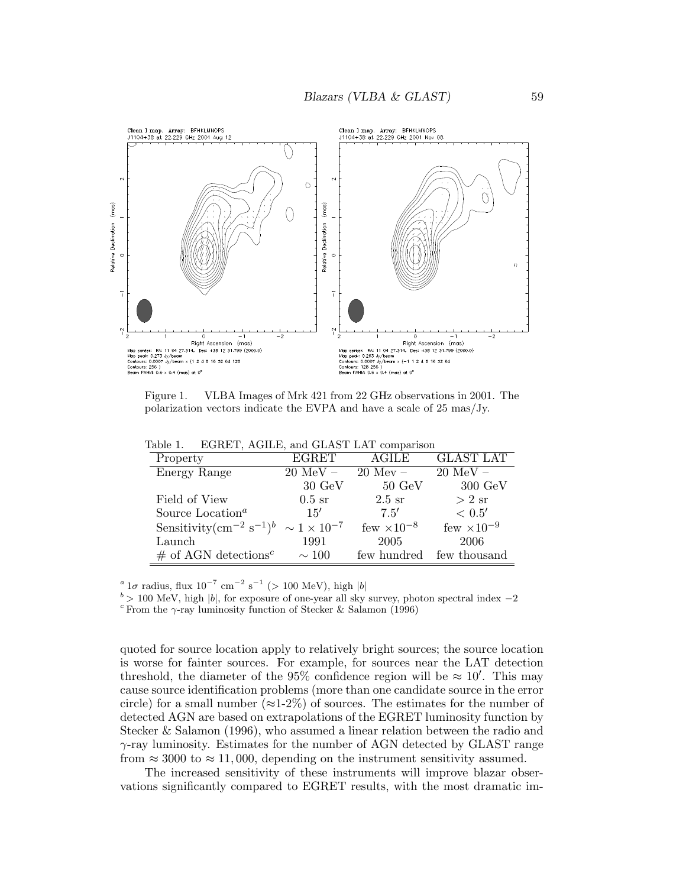

Figure 1. VLBA Images of Mrk 421 from 22 GHz observations in 2001. The polarization vectors indicate the EVPA and have a scale of 25 mas/Jy.

| Property                                                              | <b>EGRET</b>          | AGILE                | <b>GLAST LAT</b>     |
|-----------------------------------------------------------------------|-----------------------|----------------------|----------------------|
| Energy Range                                                          | $20 \overline{MeV}$ – | $20$ Mev $-$         | $20 \text{ MeV} -$   |
|                                                                       | $30 \text{ GeV}$      | $50 \text{ GeV}$     | $300 \text{ GeV}$    |
| Field of View                                                         | $0.5 \text{ sr}$      | $2.5$ sr             | $> 2$ sr             |
| Source Location <sup><math>a</math></sup>                             | 15'                   | 7.5'                 | < 0.5'               |
| Sensitivity $(\text{cm}^{-2} \text{ s}^{-1})^b \sim 1 \times 10^{-7}$ |                       | few $\times 10^{-8}$ | few $\times 10^{-9}$ |
| Launch                                                                | 1991                  | 2005                 | 2006                 |
| $\#$ of AGN detections <sup>c</sup>                                   | $\sim$ 100            | few hundred          | few thousand         |

Table 1. EGRET, AGILE, and GLAST LAT comparison

<sup>a</sup> 1σ radius, flux 10<sup>-7</sup> cm<sup>-2</sup> s<sup>-1</sup> (> 100 MeV), high |b|

 $b > 100$  MeV, high |b|, for exposure of one-year all sky survey, photon spectral index  $-2$ 

<sup>c</sup> From the  $\gamma$ -ray luminosity function of Stecker & Salamon (1996)

quoted for source location apply to relatively bright sources; the source location is worse for fainter sources. For example, for sources near the LAT detection threshold, the diameter of the 95% confidence region will be  $\approx 10'$ . This may cause source identification problems (more than one candidate source in the error circle) for a small number ( $\approx$ 1-2%) of sources. The estimates for the number of detected AGN are based on extrapolations of the EGRET luminosity function by Stecker & Salamon (1996), who assumed a linear relation between the radio and  $\gamma$ -ray luminosity. Estimates for the number of AGN detected by GLAST range from  $\approx 3000$  to  $\approx 11,000$ , depending on the instrument sensitivity assumed.

The increased sensitivity of these instruments will improve blazar observations significantly compared to EGRET results, with the most dramatic im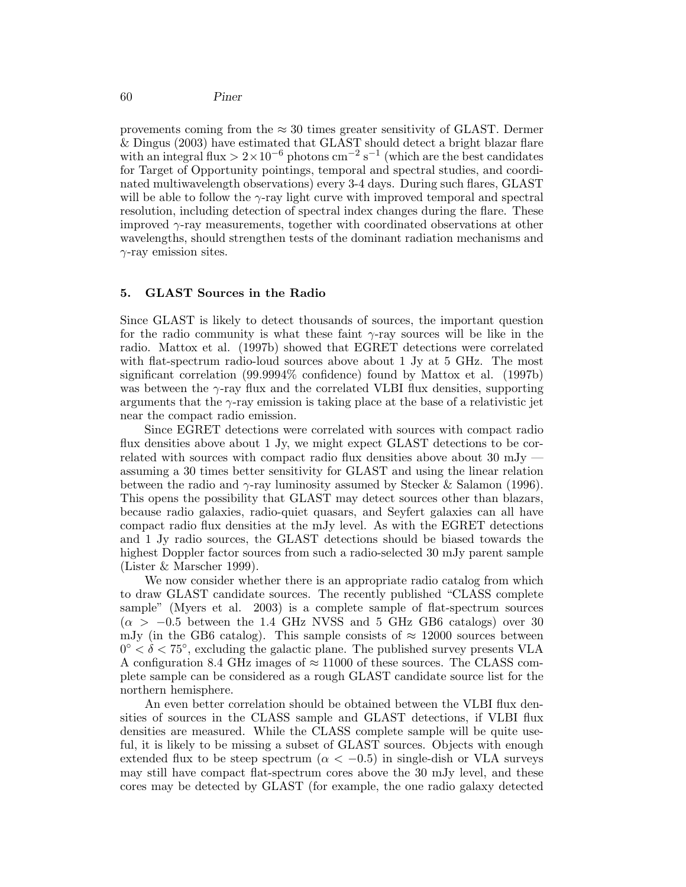provements coming from the  $\approx 30$  times greater sensitivity of GLAST. Dermer & Dingus (2003) have estimated that GLAST should detect a bright blazar flare with an integral flux  $> 2 \times 10^{-6}$  photons cm<sup>-2</sup> s<sup>-1</sup> (which are the best candidates for Target of Opportunity pointings, temporal and spectral studies, and coordinated multiwavelength observations) every 3-4 days. During such flares, GLAST will be able to follow the  $\gamma$ -ray light curve with improved temporal and spectral resolution, including detection of spectral index changes during the flare. These improved  $\gamma$ -ray measurements, together with coordinated observations at other wavelengths, should strengthen tests of the dominant radiation mechanisms and  $\gamma$ -ray emission sites.

## 5. GLAST Sources in the Radio

Since GLAST is likely to detect thousands of sources, the important question for the radio community is what these faint  $\gamma$ -ray sources will be like in the radio. Mattox et al. (1997b) showed that EGRET detections were correlated with flat-spectrum radio-loud sources above about 1 Jy at 5 GHz. The most significant correlation (99.9994% confidence) found by Mattox et al. (1997b) was between the  $\gamma$ -ray flux and the correlated VLBI flux densities, supporting arguments that the  $\gamma$ -ray emission is taking place at the base of a relativistic jet near the compact radio emission.

Since EGRET detections were correlated with sources with compact radio flux densities above about 1 Jy, we might expect GLAST detections to be correlated with sources with compact radio flux densities above about 30 mJy assuming a 30 times better sensitivity for GLAST and using the linear relation between the radio and  $\gamma$ -ray luminosity assumed by Stecker & Salamon (1996). This opens the possibility that GLAST may detect sources other than blazars, because radio galaxies, radio-quiet quasars, and Seyfert galaxies can all have compact radio flux densities at the mJy level. As with the EGRET detections and 1 Jy radio sources, the GLAST detections should be biased towards the highest Doppler factor sources from such a radio-selected 30 mJy parent sample (Lister & Marscher 1999).

We now consider whether there is an appropriate radio catalog from which to draw GLAST candidate sources. The recently published "CLASS complete sample" (Myers et al. 2003) is a complete sample of flat-spectrum sources  $(\alpha > -0.5$  between the 1.4 GHz NVSS and 5 GHz GB6 catalogs) over 30 mJy (in the GB6 catalog). This sample consists of  $\approx 12000$  sources between  $0^{\circ} < \delta < 75^{\circ}$ , excluding the galactic plane. The published survey presents VLA A configuration 8.4 GHz images of  $\approx 11000$  of these sources. The CLASS complete sample can be considered as a rough GLAST candidate source list for the northern hemisphere.

An even better correlation should be obtained between the VLBI flux densities of sources in the CLASS sample and GLAST detections, if VLBI flux densities are measured. While the CLASS complete sample will be quite useful, it is likely to be missing a subset of GLAST sources. Objects with enough extended flux to be steep spectrum ( $\alpha < -0.5$ ) in single-dish or VLA surveys may still have compact flat-spectrum cores above the 30 mJy level, and these cores may be detected by GLAST (for example, the one radio galaxy detected